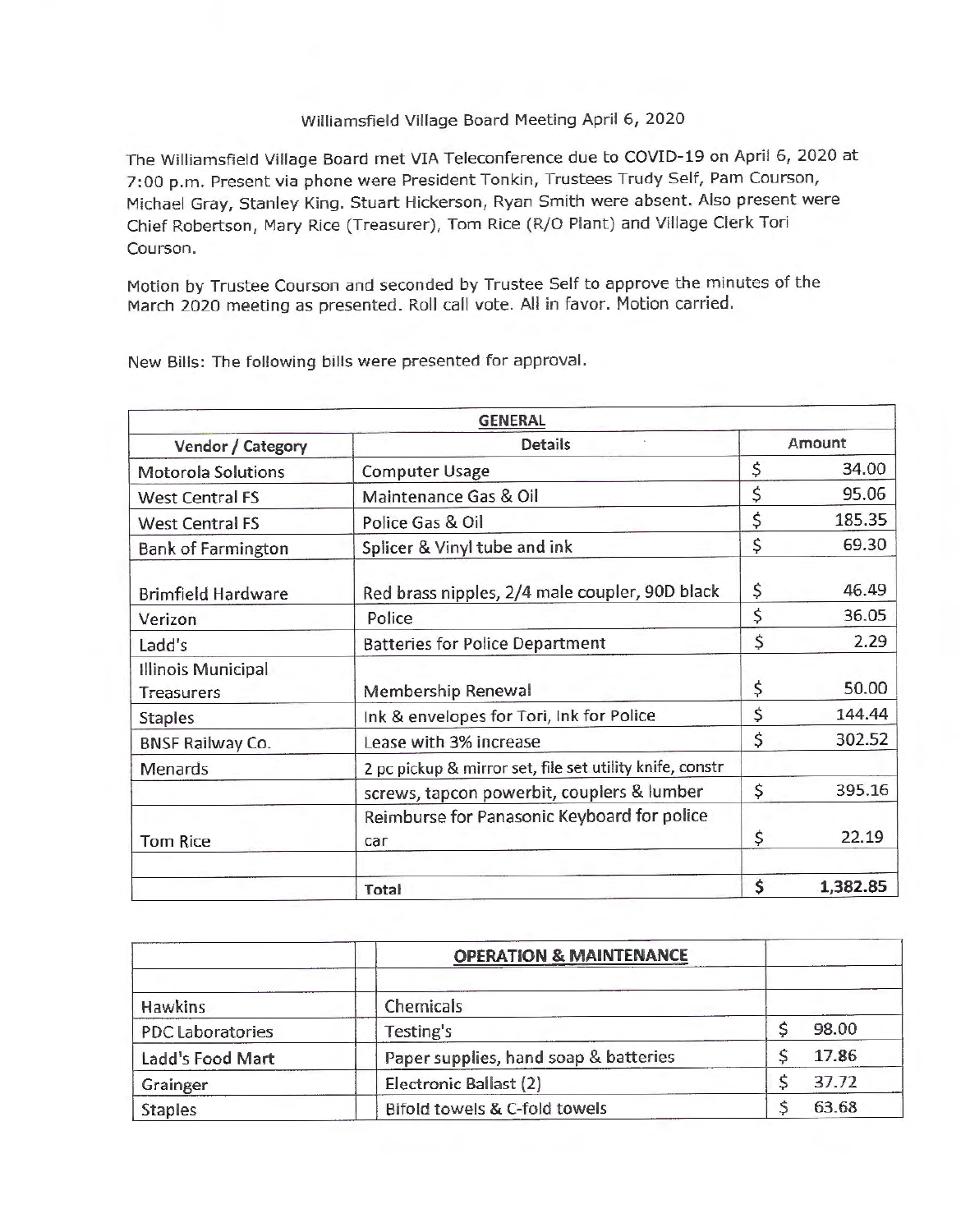## Williamsfield Village Board Meeting April 6, 2020

The Williamsfield Village Board met VIA Teleconference due to COVID-19 on April 6, 2020 at 7:00 p.m. Present via phone were President Tonkin, Trustees Trudy Self, Pam Courson, Michael Gray, Stanley King. Stuart Hickerson, Ryan Smith were absent. Also present were Chief Robertson, Mary Rice (Treasurer), Tom Rice (R/0 Plant) and Village Clerk Tori Courson.

Motion by Trustee Courson and seconded by Trustee Self to approve the minutes of the March 2020 meeting as presented. Roll call vote. All in favor. Motion carried.

|                                         | <b>GENERAL</b>                                           |        |          |
|-----------------------------------------|----------------------------------------------------------|--------|----------|
| Vendor / Category                       | <b>Details</b>                                           | Amount |          |
| <b>Motorola Solutions</b>               | <b>Computer Usage</b>                                    | \$     | 34.00    |
| <b>West Central FS</b>                  | Maintenance Gas & Oil                                    | \$     | 95.06    |
| <b>West Central FS</b>                  | Police Gas & Oil                                         | \$     | 185.35   |
| <b>Bank of Farmington</b>               | Splicer & Vinyl tube and ink                             | \$     | 69.30    |
| <b>Brimfield Hardware</b>               | Red brass nipples, 2/4 male coupler, 90D black           | \$     | 46.49    |
| Verizon                                 | Police                                                   | \$     | 36.05    |
| Ladd's                                  | <b>Batteries for Police Department</b>                   | \$     | 2.29     |
| Illinois Municipal<br><b>Treasurers</b> | Membership Renewal                                       | \$     | 50.00    |
| <b>Staples</b>                          | Ink & envelopes for Tori, Ink for Police                 | \$     | 144.44   |
| <b>BNSF Railway Co.</b>                 | Lease with 3% increase                                   | \$     | 302.52   |
| Menards                                 | 2 pc pickup & mirror set, file set utility knife, constr |        |          |
|                                         | screws, tapcon powerbit, couplers & lumber               | \$     | 395.16   |
| <b>Tom Rice</b>                         | Reimburse for Panasonic Keyboard for police<br>car       | \$     | 22.19    |
|                                         | Total                                                    | \$     | 1,382.85 |

New Bills: The following bills were presented for approval.

|                         | <b>OPERATION &amp; MAINTENANCE</b>    |       |
|-------------------------|---------------------------------------|-------|
| <b>Hawkins</b>          | Chemicals                             |       |
| <b>PDC Laboratories</b> | Testing's                             | 98.00 |
| Ladd's Food Mart        | Paper supplies, hand soap & batteries | 17.86 |
| Grainger                | Electronic Ballast (2)                | 37.72 |
| <b>Staples</b>          | Bifold towels & C-fold towels         | 63.68 |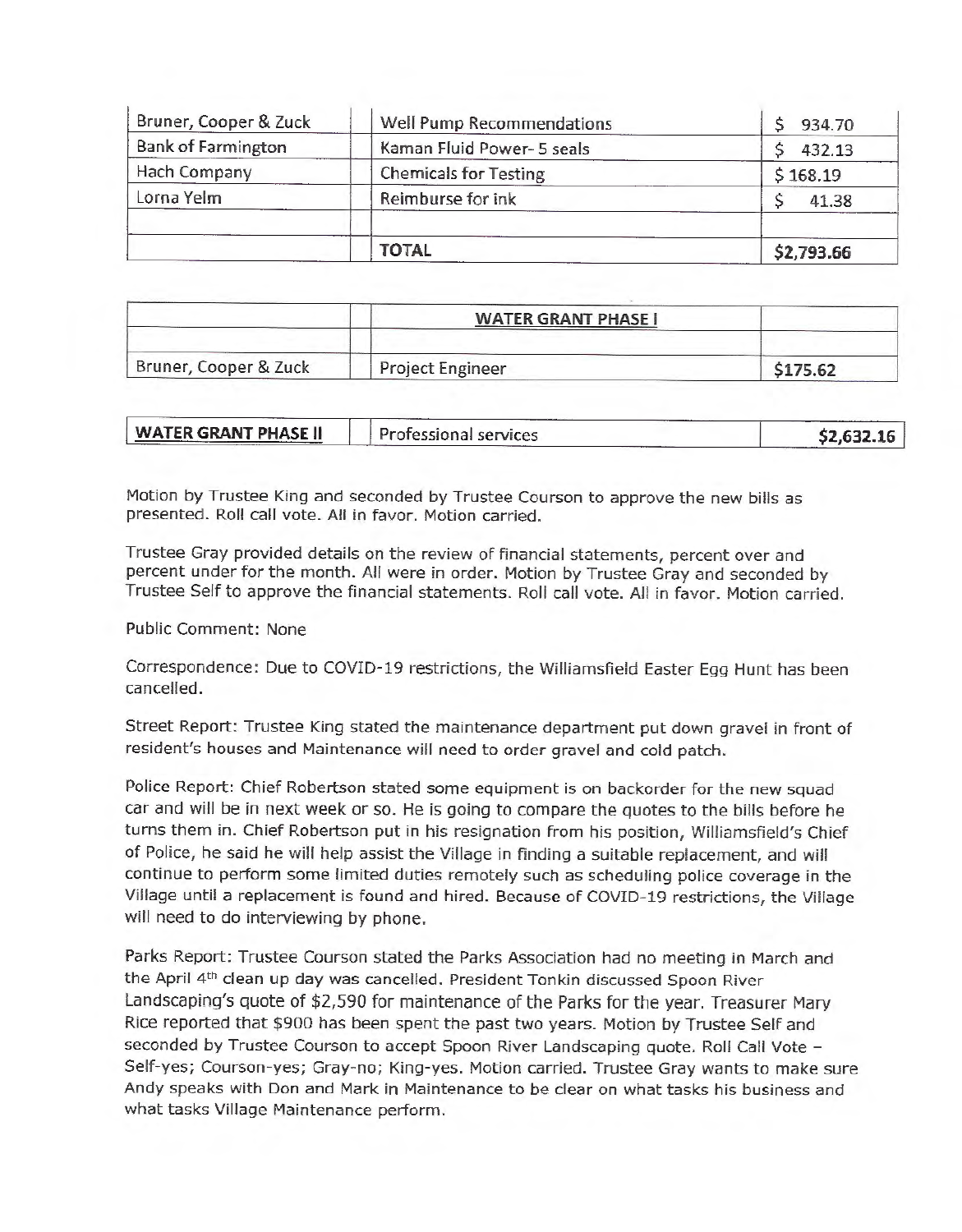|                           | TOTAL                        | \$2,793.66 |
|---------------------------|------------------------------|------------|
| Lorna Yelm                | Reimburse for ink            | 41.38      |
| Hach Company              | <b>Chemicals for Testing</b> | \$168.19   |
| <b>Bank of Farmington</b> | Kaman Fluid Power- 5 seals   | 432.13     |
| Bruner, Cooper & Zuck     | Well Pump Recommendations    | 934.70     |

|                       | <b>WATER GRANT PHASE I</b> |          |
|-----------------------|----------------------------|----------|
| Bruner, Cooper & Zuck | Project Engineer           | \$175.62 |

| <b>WATER GRANT PHASE II</b> | Professional services | \$2,632.16 |
|-----------------------------|-----------------------|------------|

Motion by Trustee King and seconded by Trustee Courson to approve the new bills as presented. Roll call vote. All in favor. Motion carried.

Trustee Gray provided details on the review of financial statements, percent over and percent under for the month. All were in order. Motion by Trustee Gray and seconded by Trustee Self to approve the financial statements. Roll call vote. All in favor. Motion carried.

Public Comment: None

Correspondence: Due to COVID-19 restrictions, the Williamsfield Easter Egg Hunt has been cancelled.

Street Report: Trustee King stated the maintenance department put down gravel in front of resident's houses and Maintenance will need to order gravel and cold patch.

Police Report: Chief Robertson stated some equipment is on backorder for the new squad car and will be in next week or so. He is going to compare the quotes to the bills before he turns them in. Chief Robertson put in his resignation from his position, Williamsfield's Chief of Police, he said he will help assist the Village in finding a suitable replacement, and will continue to perform some limited duties remotely such as scheduling police coverage in the Village until a replacement is found and hired. Because of COVID-19 restrictions, the Village will need to do interviewing by phone.

Parks Report: Trustee Courson stated the Parks Association had no meeting in March and the April 4<sup>th</sup> clean up day was cancelled. President Tonkin discussed Spoon River Landscaping's quote of \$2,590 for maintenance of the Parks for the year. Treasurer Mary Rice reported that \$900 has been spent the past two years. Motion by Trustee Self and seconded by Trustee Courson to accept Spoon River Landscaping quote. Roll Call Vote -Self-yes; Courson-yes; Gray-no; King-yes. Motion carried. Trustee Gray wants to make sure Andy speaks with Don and Mark in Maintenance to be clear on what tasks his business and what tasks Village Maintenance perform.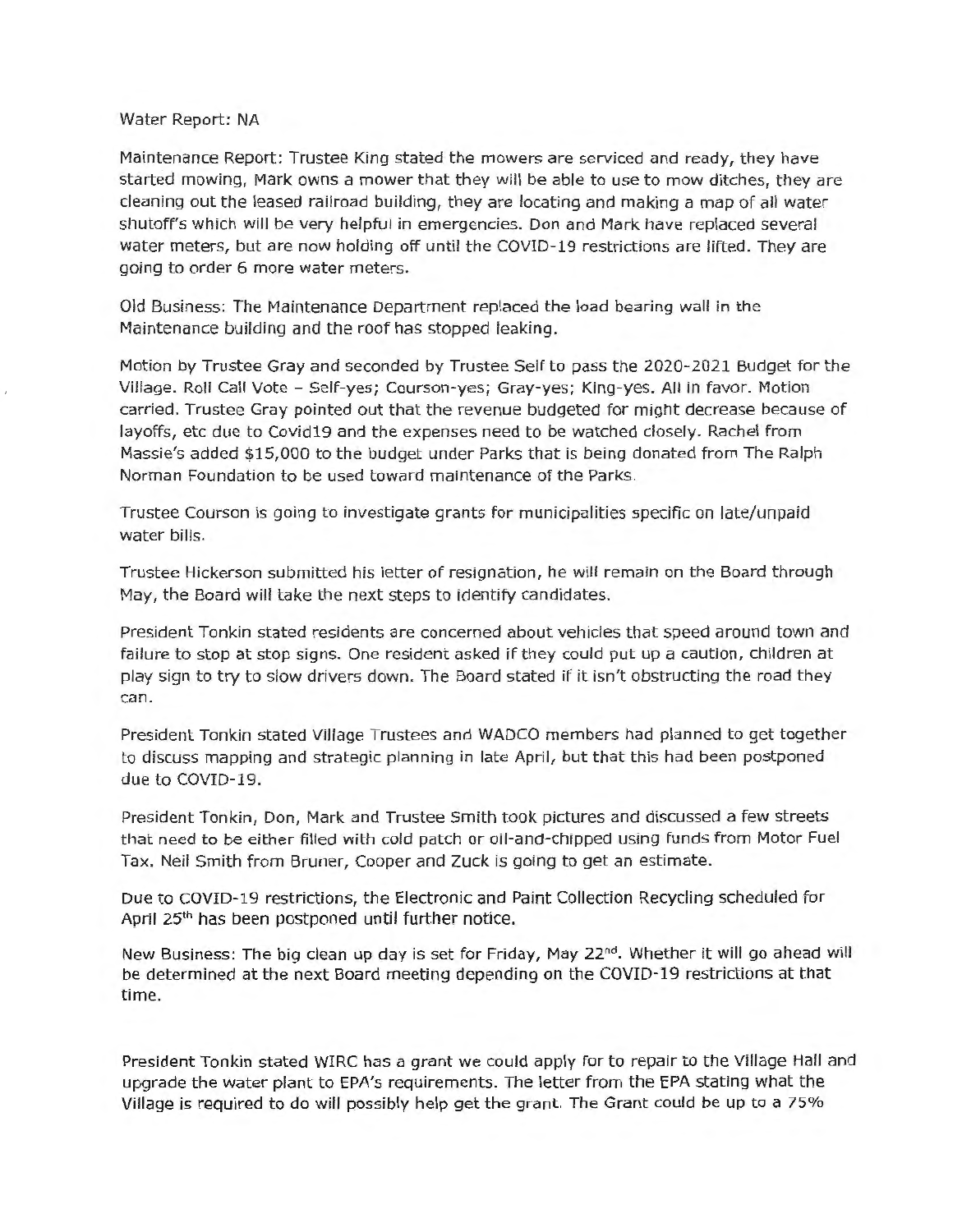## Water Report: NA

Maintenance Report: Trustee King stated the mowers are serviced and ready, they have started mowing, Mark owns a mower that they will be able to use to mow ditches, they are cleaning out the leased railroad building, they are locating and making a map of all water shutoff's which will be very helpful in emergencies. Don and Mark have replaced several water meters, but are now holding off until the COVID-19 restrictions are lifted. They are going to order 6 more water meters.

Old Business: The Maintenance Department replaced the load bearing wall in the Maintenance building and the roof has stopped leaking.

Motion by Trustee Gray and seconded by Trustee Self to pass the 2020-2021 Budget for the Village. Roll Call Vote - Self-yes; Courson-yes; Gray-yes; King-yes. All in favor. Motion carried. Trustee Gray pointed out that the revenue budgeted for might decrease because of layoffs, etc due to Covid19 and the expenses need to be watched closely. Rachel from Massie's added \$15,000 to the budget under Parks that is being donated from The Ralph Norman Foundation to be used toward maintenance of the Parks.

Trustee Courson is going to investigate grants for municipalities specific on late/unpaid water bills.

Trustee Hickerson submitted his letter of resignation, he will remain on the Board through May, the Board will take the next steps to identify candidates.

President Tonkin stated residents are concerned about vehicles that speed around town and failure to stop at stop signs. One resident asked if they could put up a caution, children at play sign to try to slow drivers down. The Board stated if it isn't obstructing the road they can.

President Tonkin stated Village Trustees and WADCO members had planned to get together to discuss mapping and strategic planning in late April, but that this had been postponed due to COVID-19.

President Tonkin, Don, Mark and Trustee Smith took pictures and discussed a few streets that need to be either filled with cold patch or oil-and-chipped using funds from Motor Fuel Tax. Neil Smith from Bruner, Cooper and Zuck is going to get an estimate.

Due to COVID-19 restrictions, the Electronic and Paint Collection Recycling scheduled for April 25th has been postponed until further notice.

New Business: The big clean up day is set for Friday, May 22<sup>nd</sup>. Whether it will go ahead will be determined at the next Board meeting depending on the COVID- 19 restrictions at that time.

President Tonkin stated WIRC has a grant we could apply for to repair to the Village Hall and upgrade the water plant to EPA's requirements. The letter from the EPA stating what the Village is required to do will possibly help get the grant. The Grant could be up to a 75%